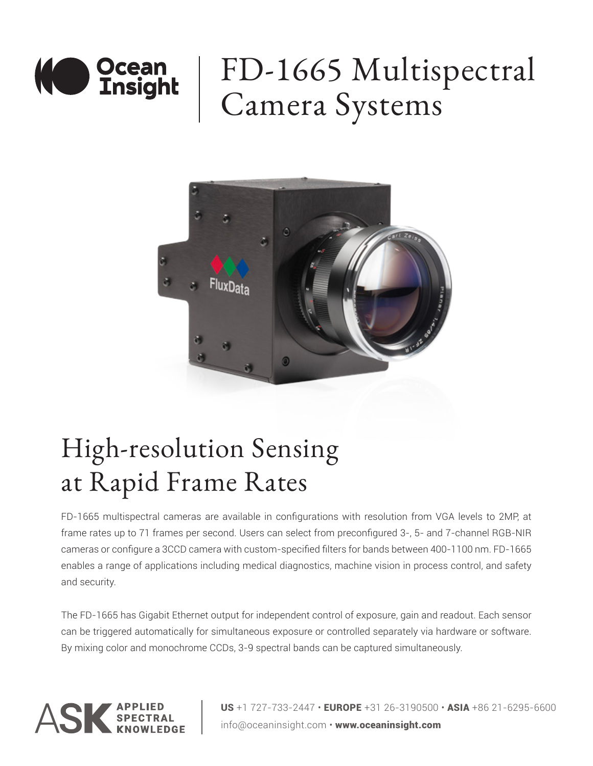

# FD-1665 Multispectral Camera Systems



## High-resolution Sensing at Rapid Frame Rates

FD-1665 multispectral cameras are available in configurations with resolution from VGA levels to 2MP, at frame rates up to 71 frames per second. Users can select from preconfigured 3-, 5- and 7-channel RGB-NIR cameras or configure a 3CCD camera with custom-specified filters for bands between 400-1100 nm. FD-1665 enables a range of applications including medical diagnostics, machine vision in process control, and safety and security.

The FD-1665 has Gigabit Ethernet output for independent control of exposure, gain and readout. Each sensor can be triggered automatically for simultaneous exposure or controlled separately via hardware or software. By mixing color and monochrome CCDs, 3-9 spectral bands can be captured simultaneously.